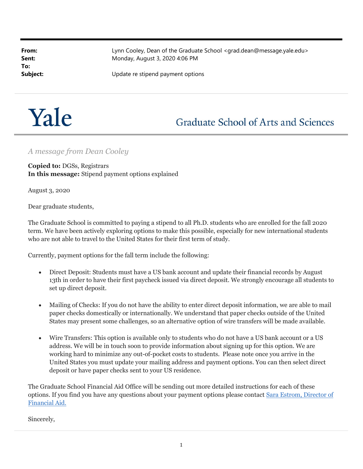To:

From: Example 2011 Lynn Cooley, Dean of the Graduate School <grad.dean@message.yale.edu> **Sent:** Monday, August 3, 2020 4:06 PM

**Subject:** Update re stipend payment options



## **Graduate School of Arts and Sciences**

## A message from Dean Cooley

Copied to: DGSs, Registrars In this message: Stipend payment options explained

August 3, 2020

Dear graduate students,

The Graduate School is committed to paying a stipend to all Ph.D. students who are enrolled for the fall 2020 term. We have been actively exploring options to make this possible, especially for new international students who are not able to travel to the United States for their first term of study.

Currently, payment options for the fall term include the following:

- Direct Deposit: Students must have a US bank account and update their financial records by August 13th in order to have their first paycheck issued via direct deposit. We strongly encourage all students to set up direct deposit.
- Mailing of Checks: If you do not have the ability to enter direct deposit information, we are able to mail paper checks domestically or internationally. We understand that paper checks outside of the United States may present some challenges, so an alternative option of wire transfers will be made available.
- Wire Transfers: This option is available only to students who do not have a US bank account or a US address. We will be in touch soon to provide information about signing up for this option. We are working hard to minimize any out-of-pocket costs to students. Please note once you arrive in the United States you must update your mailing address and payment options. You can then select direct deposit or have paper checks sent to your US residence.

The Graduate School Financial Aid Office will be sending out more detailed instructions for each of these options. If you find you have any questions about your payment options please contact Sara Estrom, Director of Financial Aid.

Sincerely,